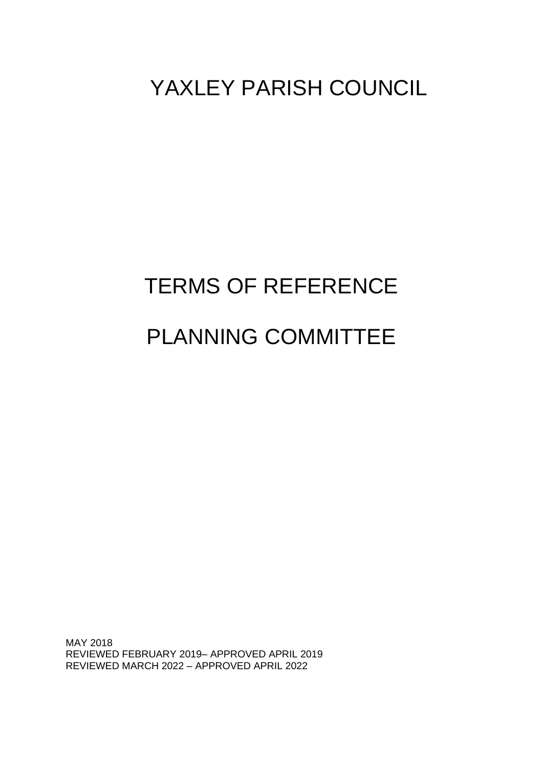# YAXLEY PARISH COUNCIL

# TERMS OF REFERENCE PLANNING COMMITTEE

MAY 2018 REVIEWED FEBRUARY 2019– APPROVED APRIL 2019 REVIEWED MARCH 2022 – APPROVED APRIL 2022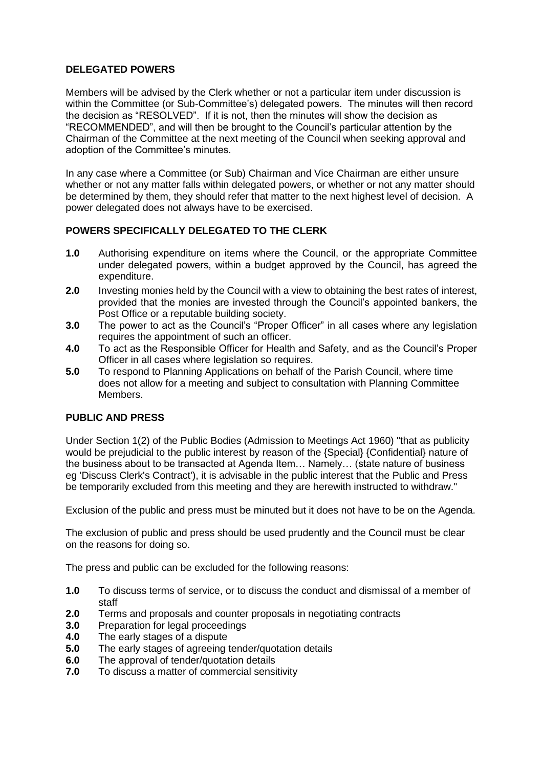#### **DELEGATED POWERS**

Members will be advised by the Clerk whether or not a particular item under discussion is within the Committee (or Sub-Committee's) delegated powers. The minutes will then record the decision as "RESOLVED". If it is not, then the minutes will show the decision as "RECOMMENDED", and will then be brought to the Council's particular attention by the Chairman of the Committee at the next meeting of the Council when seeking approval and adoption of the Committee's minutes.

In any case where a Committee (or Sub) Chairman and Vice Chairman are either unsure whether or not any matter falls within delegated powers, or whether or not any matter should be determined by them, they should refer that matter to the next highest level of decision. A power delegated does not always have to be exercised.

#### **POWERS SPECIFICALLY DELEGATED TO THE CLERK**

- **1.0** Authorising expenditure on items where the Council, or the appropriate Committee under delegated powers, within a budget approved by the Council, has agreed the expenditure.
- **2.0** Investing monies held by the Council with a view to obtaining the best rates of interest, provided that the monies are invested through the Council's appointed bankers, the Post Office or a reputable building society.
- **3.0** The power to act as the Council's "Proper Officer" in all cases where any legislation requires the appointment of such an officer.
- **4.0** To act as the Responsible Officer for Health and Safety, and as the Council's Proper Officer in all cases where legislation so requires.
- **5.0** To respond to Planning Applications on behalf of the Parish Council, where time does not allow for a meeting and subject to consultation with Planning Committee Members.

#### **PUBLIC AND PRESS**

Under Section 1(2) of the Public Bodies (Admission to Meetings Act 1960) "that as publicity would be prejudicial to the public interest by reason of the {Special} {Confidential} nature of the business about to be transacted at Agenda Item… Namely… (state nature of business eg 'Discuss Clerk's Contract'), it is advisable in the public interest that the Public and Press be temporarily excluded from this meeting and they are herewith instructed to withdraw."

Exclusion of the public and press must be minuted but it does not have to be on the Agenda.

The exclusion of public and press should be used prudently and the Council must be clear on the reasons for doing so.

The press and public can be excluded for the following reasons:

- **1.0** To discuss terms of service, or to discuss the conduct and dismissal of a member of staff
- **2.0** Terms and proposals and counter proposals in negotiating contracts
- **3.0** Preparation for legal proceedings
- **4.0** The early stages of a dispute
- **5.0** The early stages of agreeing tender/quotation details
- **6.0** The approval of tender/quotation details
- **7.0** To discuss a matter of commercial sensitivity